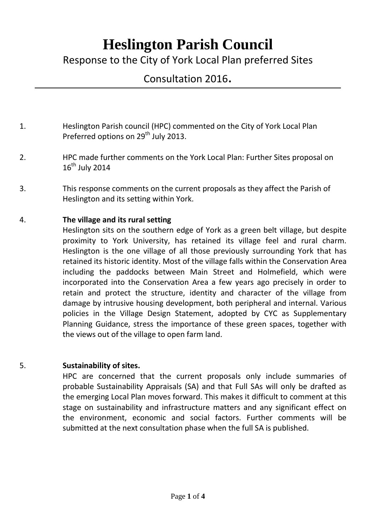# **Heslington Parish Council**

Response to the City of York Local Plan preferred Sites

# Consultation 2016.

- 1. Heslington Parish council (HPC) commented on the City of York Local Plan Preferred options on 29<sup>th</sup> July 2013.
- 2. HPC made further comments on the York Local Plan: Further Sites proposal on  $16^{th}$  July 2014
- 3. This response comments on the current proposals as they affect the Parish of Heslington and its setting within York.

## 4. **The village and its rural setting**

Heslington sits on the southern edge of York as a green belt village, but despite proximity to York University, has retained its village feel and rural charm. Heslington is the one village of all those previously surrounding York that has retained its historic identity. Most of the village falls within the Conservation Area including the paddocks between Main Street and Holmefield, which were incorporated into the Conservation Area a few years ago precisely in order to retain and protect the structure, identity and character of the village from damage by intrusive housing development, both peripheral and internal. Various policies in the Village Design Statement, adopted by CYC as Supplementary Planning Guidance, stress the importance of these green spaces, together with the views out of the village to open farm land.

#### 5. **Sustainability of sites.**

HPC are concerned that the current proposals only include summaries of probable Sustainability Appraisals (SA) and that Full SAs will only be drafted as the emerging Local Plan moves forward. This makes it difficult to comment at this stage on sustainability and infrastructure matters and any significant effect on the environment, economic and social factors. Further comments will be submitted at the next consultation phase when the full SA is published.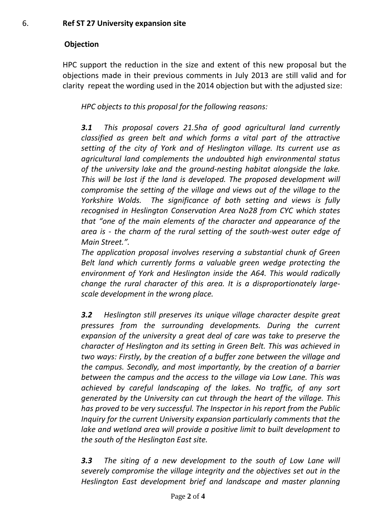# **Objection**

HPC support the reduction in the size and extent of this new proposal but the objections made in their previous comments in July 2013 are still valid and for clarity repeat the wording used in the 2014 objection but with the adjusted size:

*HPC objects to this proposal for the following reasons:*

*3.1 This proposal covers 21.5ha of good agricultural land currently classified as green belt and which forms a vital part of the attractive setting of the city of York and of Heslington village. Its current use as agricultural land complements the undoubted high environmental status of the university lake and the ground-nesting habitat alongside the lake. This will be lost if the land is developed. The proposed development will compromise the setting of the village and views out of the village to the Yorkshire Wolds. The significance of both setting and views is fully recognised in Heslington Conservation Area No28 from CYC which states that "one of the main elements of the character and appearance of the area is - the charm of the rural setting of the south-west outer edge of Main Street.".*

*The application proposal involves reserving a substantial chunk of Green Belt land which currently forms a valuable green wedge protecting the environment of York and Heslington inside the A64. This would radically change the rural character of this area. It is a disproportionately largescale development in the wrong place.* 

*3.2 Heslington still preserves its unique village character despite great pressures from the surrounding developments. During the current expansion of the university a great deal of care was take to preserve the character of Heslington and its setting in Green Belt. This was achieved in two ways: Firstly, by the creation of a buffer zone between the village and the campus. Secondly, and most importantly, by the creation of a barrier between the campus and the access to the village via Low Lane. This was achieved by careful landscaping of the lakes. No traffic, of any sort generated by the University can cut through the heart of the village. This has proved to be very successful. The Inspector in his report from the Public Inquiry for the current University expansion particularly comments that the lake and wetland area will provide a positive limit to built development to the south of the Heslington East site.*

*3.3 The siting of a new development to the south of Low Lane will severely compromise the village integrity and the objectives set out in the Heslington East development brief and landscape and master planning*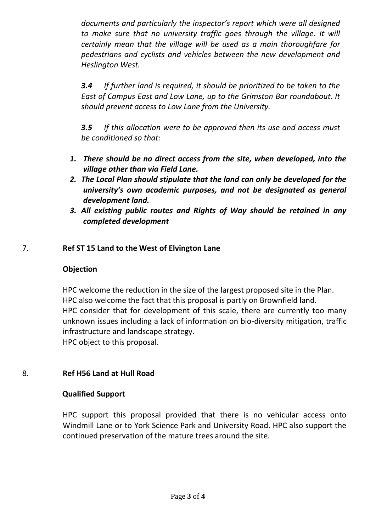*documents and particularly the inspector's report which were all designed*  to make sure that no university traffic goes through the village. It will *certainly mean that the village will be used as a main thoroughfare for pedestrians and cyclists and vehicles between the new development and Heslington West.* 

*3.4 If further land is required, it should be prioritized to be taken to the East of Campus East and Low Lane, up to the Grimston Bar roundabout. It should prevent access to Low Lane from the University.* 

*3.5 If this allocation were to be approved then its use and access must be conditioned so that:*

- *1. There should be no direct access from the site, when developed, into the village other than via Field Lane.*
- *2. The Local Plan should stipulate that the land can only be developed for the university's own academic purposes, and not be designated as general development land.*
- *3. All existing public routes and Rights of Way should be retained in any completed development*

## 7. **Ref ST 15 Land to the West of Elvington Lane**

#### **Objection**

HPC welcome the reduction in the size of the largest proposed site in the Plan. HPC also welcome the fact that this proposal is partly on Brownfield land. HPC consider that for development of this scale, there are currently too many unknown issues including a lack of information on bio-diversity mitigation, traffic infrastructure and landscape strategy. HPC object to this proposal.

#### 8. **Ref H56 Land at Hull Road**

#### **Qualified Support**

HPC support this proposal provided that there is no vehicular access onto Windmill Lane or to York Science Park and University Road. HPC also support the continued preservation of the mature trees around the site.